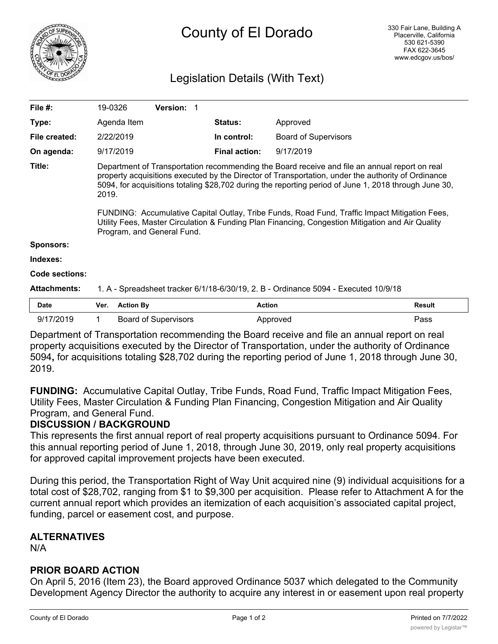

# Legislation Details (With Text)

| File $#$ :            | 19-0326                                                                                                                                                                                                                                                                                                                                                                                                                                                                                                                                                  | Version: 1                  |                      |                |                             |               |
|-----------------------|----------------------------------------------------------------------------------------------------------------------------------------------------------------------------------------------------------------------------------------------------------------------------------------------------------------------------------------------------------------------------------------------------------------------------------------------------------------------------------------------------------------------------------------------------------|-----------------------------|----------------------|----------------|-----------------------------|---------------|
| Type:                 | Agenda Item                                                                                                                                                                                                                                                                                                                                                                                                                                                                                                                                              |                             |                      | <b>Status:</b> | Approved                    |               |
| File created:         | 2/22/2019                                                                                                                                                                                                                                                                                                                                                                                                                                                                                                                                                |                             |                      | In control:    | <b>Board of Supervisors</b> |               |
| On agenda:            | 9/17/2019                                                                                                                                                                                                                                                                                                                                                                                                                                                                                                                                                |                             | <b>Final action:</b> | 9/17/2019      |                             |               |
| Title:                | Department of Transportation recommending the Board receive and file an annual report on real<br>property acquisitions executed by the Director of Transportation, under the authority of Ordinance<br>5094, for acquisitions totaling \$28,702 during the reporting period of June 1, 2018 through June 30,<br>2019.<br>FUNDING: Accumulative Capital Outlay, Tribe Funds, Road Fund, Traffic Impact Mitigation Fees,<br>Utility Fees, Master Circulation & Funding Plan Financing, Congestion Mitigation and Air Quality<br>Program, and General Fund. |                             |                      |                |                             |               |
| Sponsors:             |                                                                                                                                                                                                                                                                                                                                                                                                                                                                                                                                                          |                             |                      |                |                             |               |
| Indexes:              |                                                                                                                                                                                                                                                                                                                                                                                                                                                                                                                                                          |                             |                      |                |                             |               |
| <b>Code sections:</b> |                                                                                                                                                                                                                                                                                                                                                                                                                                                                                                                                                          |                             |                      |                |                             |               |
| <b>Attachments:</b>   | 1. A - Spreadsheet tracker 6/1/18-6/30/19, 2. B - Ordinance 5094 - Executed 10/9/18                                                                                                                                                                                                                                                                                                                                                                                                                                                                      |                             |                      |                |                             |               |
| Date                  | Ver.                                                                                                                                                                                                                                                                                                                                                                                                                                                                                                                                                     | <b>Action By</b>            |                      | <b>Action</b>  |                             | <b>Result</b> |
| 9/17/2019             | 1.                                                                                                                                                                                                                                                                                                                                                                                                                                                                                                                                                       | <b>Board of Supervisors</b> |                      |                | Approved                    | Pass          |

Department of Transportation recommending the Board receive and file an annual report on real property acquisitions executed by the Director of Transportation, under the authority of Ordinance 5094**,** for acquisitions totaling \$28,702 during the reporting period of June 1, 2018 through June 30, 2019.

**FUNDING:** Accumulative Capital Outlay, Tribe Funds, Road Fund, Traffic Impact Mitigation Fees, Utility Fees, Master Circulation & Funding Plan Financing, Congestion Mitigation and Air Quality Program, and General Fund.

## **DISCUSSION / BACKGROUND**

This represents the first annual report of real property acquisitions pursuant to Ordinance 5094. For this annual reporting period of June 1, 2018, through June 30, 2019, only real property acquisitions for approved capital improvement projects have been executed.

During this period, the Transportation Right of Way Unit acquired nine (9) individual acquisitions for a total cost of \$28,702, ranging from \$1 to \$9,300 per acquisition. Please refer to Attachment A for the current annual report which provides an itemization of each acquisition's associated capital project, funding, parcel or easement cost, and purpose.

# **ALTERNATIVES**

N/A

## **PRIOR BOARD ACTION**

On April 5, 2016 (Item 23), the Board approved Ordinance 5037 which delegated to the Community Development Agency Director the authority to acquire any interest in or easement upon real property